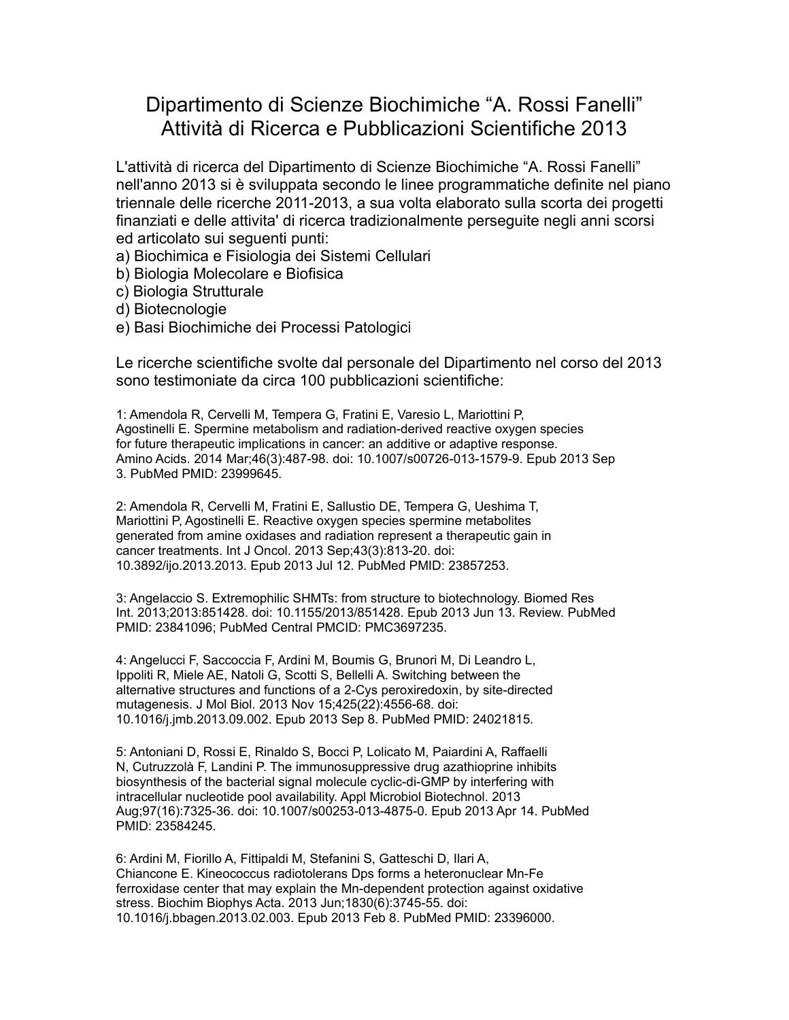## Dipartimento di Scienze Biochimiche "A. Rossi Fanelli" Attività di Ricerca e Pubblicazioni Scientifiche 2013

L'attività di ricerca del Dipartimento di Scienze Biochimiche "A. Rossi Fanelli" nell'anno 2013 si è sviluppata secondo le linee programmatiche definite nel piano triennale delle ricerche 2011-2013, a sua volta elaborato sulla scorta dei progetti finanziati e delle attivita' di ricerca tradizionalmente perseguite negli anni scorsi ed articolato sui seguenti punti:

- a) Biochimica e Fisiologia dei Sistemi Cellulari
- b) Biologia Molecolare e Biofisica
- c) Biologia Strutturale
- d) Biotecnologie
- e) Basi Biochimiche dei Processi Patologici

Le ricerche scientifiche svolte dal personale del Dipartimento nel corso del 2013 sono testimoniate da circa 100 pubblicazioni scientifiche:

1: Amendola R, Cervelli M, Tempera G, Fratini E, Varesio L, Mariottini P, Agostinelli E. Spermine metabolism and radiation-derived reactive oxygen species for future therapeutic implications in cancer: an additive or adaptive response. Amino Acids. 2014 Mar;46(3):487-98. doi: 10.1007/s00726-013-1579-9. Epub 2013 Sep 3. PubMed PMID: 23999645.

2: Amendola R, Cervelli M, Fratini E, Sallustio DE, Tempera G, Ueshima T, Mariottini P, Agostinelli E. Reactive oxygen species spermine metabolites generated from amine oxidases and radiation represent a therapeutic gain in cancer treatments. Int J Oncol. 2013 Sep;43(3):813-20. doi: 10.3892/ijo.2013.2013. Epub 2013 Jul 12. PubMed PMID: 23857253.

3: Angelaccio S. Extremophilic SHMTs: from structure to biotechnology. Biomed Res Int. 2013;2013:851428. doi: 10.1155/2013/851428. Epub 2013 Jun 13. Review. PubMed PMID: 23841096; PubMed Central PMCID: PMC3697235.

4: Angelucci F, Saccoccia F, Ardini M, Boumis G, Brunori M, Di Leandro L, Ippoliti R, Miele AE, Natoli G, Scotti S, Bellelli A. Switching between the alternative structures and functions of a 2-Cys peroxiredoxin, by site-directed mutagenesis. J Mol Biol. 2013 Nov 15;425(22):4556-68. doi: 10.1016/j.jmb.2013.09.002. Epub 2013 Sep 8. PubMed PMID: 24021815.

5: Antoniani D, Rossi E, Rinaldo S, Bocci P, Lolicato M, Paiardini A, Raffaelli N, Cutruzzolà F, Landini P. The immunosuppressive drug azathioprine inhibits biosynthesis of the bacterial signal molecule cyclic-di-GMP by interfering with intracellular nucleotide pool availability. Appl Microbiol Biotechnol. 2013 Aug;97(16):7325-36. doi: 10.1007/s00253-013-4875-0. Epub 2013 Apr 14. PubMed PMID: 23584245.

6: Ardini M, Fiorillo A, Fittipaldi M, Stefanini S, Gatteschi D, Ilari A, Chiancone E. Kineococcus radiotolerans Dps forms a heteronuclear Mn-Fe ferroxidase center that may explain the Mn-dependent protection against oxidative stress. Biochim Biophys Acta. 2013 Jun;1830(6):3745-55. doi: 10.1016/j.bbagen.2013.02.003. Epub 2013 Feb 8. PubMed PMID: 23396000.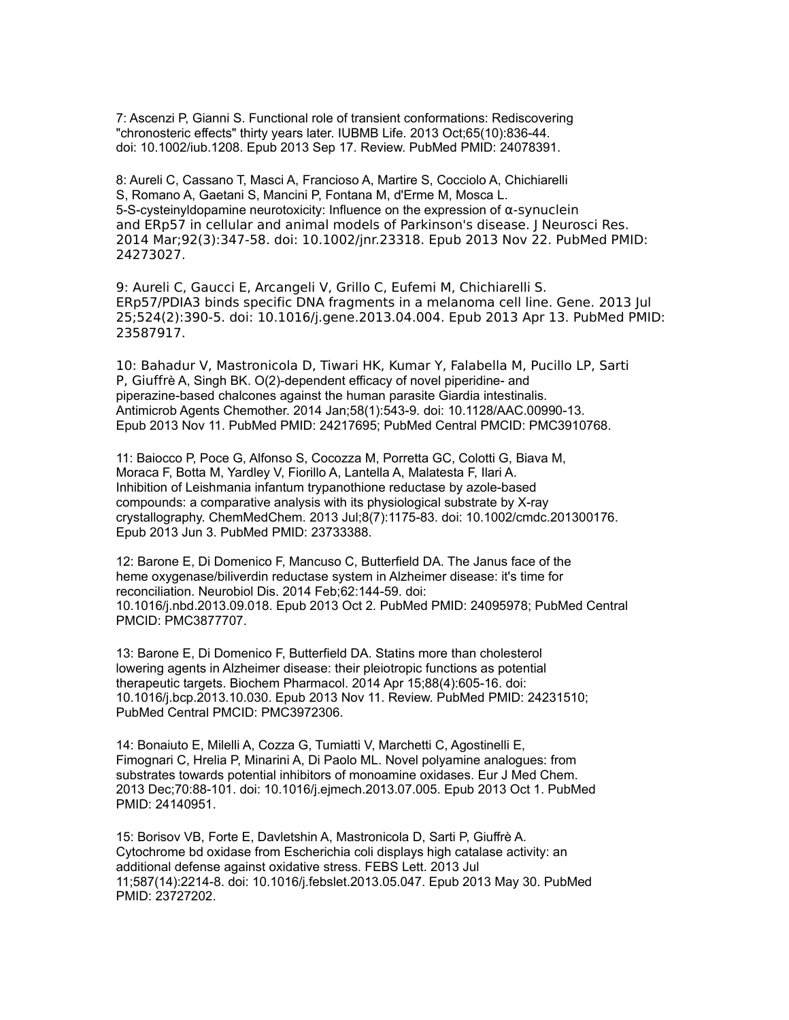7: Ascenzi P, Gianni S. Functional role of transient conformations: Rediscovering "chronosteric effects" thirty years later. IUBMB Life. 2013 Oct;65(10):836-44. doi: 10.1002/iub.1208. Epub 2013 Sep 17. Review. PubMed PMID: 24078391.

8: Aureli C, Cassano T, Masci A, Francioso A, Martire S, Cocciolo A, Chichiarelli S, Romano A, Gaetani S, Mancini P, Fontana M, d'Erme M, Mosca L. 5-S-cysteinyldopamine neurotoxicity: Influence on the expression of α-synuclein and ERp57 in cellular and animal models of Parkinson's disease. J Neurosci Res. 2014 Mar;92(3):347-58. doi: 10.1002/jnr.23318. Epub 2013 Nov 22. PubMed PMID: 24273027.

9: Aureli C, Gaucci E, Arcangeli V, Grillo C, Eufemi M, Chichiarelli S. ERp57/PDIA3 binds specific DNA fragments in a melanoma cell line. Gene. 2013 Jul 25;524(2):390-5. doi: 10.1016/j.gene.2013.04.004. Epub 2013 Apr 13. PubMed PMID: 23587917.

10: Bahadur V, Mastronicola D, Tiwari HK, Kumar Y, Falabella M, Pucillo LP, Sarti P, Giuffrè A, Singh BK. O(2)-dependent efficacy of novel piperidine- and piperazine-based chalcones against the human parasite Giardia intestinalis. Antimicrob Agents Chemother. 2014 Jan;58(1):543-9. doi: 10.1128/AAC.00990-13. Epub 2013 Nov 11. PubMed PMID: 24217695; PubMed Central PMCID: PMC3910768.

11: Baiocco P, Poce G, Alfonso S, Cocozza M, Porretta GC, Colotti G, Biava M, Moraca F, Botta M, Yardley V, Fiorillo A, Lantella A, Malatesta F, Ilari A. Inhibition of Leishmania infantum trypanothione reductase by azole-based compounds: a comparative analysis with its physiological substrate by X-ray crystallography. ChemMedChem. 2013 Jul;8(7):1175-83. doi: 10.1002/cmdc.201300176. Epub 2013 Jun 3. PubMed PMID: 23733388.

12: Barone E, Di Domenico F, Mancuso C, Butterfield DA. The Janus face of the heme oxygenase/biliverdin reductase system in Alzheimer disease: it's time for reconciliation. Neurobiol Dis. 2014 Feb;62:144-59. doi: 10.1016/j.nbd.2013.09.018. Epub 2013 Oct 2. PubMed PMID: 24095978; PubMed Central PMCID: PMC3877707.

13: Barone E, Di Domenico F, Butterfield DA. Statins more than cholesterol lowering agents in Alzheimer disease: their pleiotropic functions as potential therapeutic targets. Biochem Pharmacol. 2014 Apr 15;88(4):605-16. doi: 10.1016/j.bcp.2013.10.030. Epub 2013 Nov 11. Review. PubMed PMID: 24231510; PubMed Central PMCID: PMC3972306.

14: Bonaiuto E, Milelli A, Cozza G, Tumiatti V, Marchetti C, Agostinelli E, Fimognari C, Hrelia P, Minarini A, Di Paolo ML. Novel polyamine analogues: from substrates towards potential inhibitors of monoamine oxidases. Eur J Med Chem. 2013 Dec;70:88-101. doi: 10.1016/j.ejmech.2013.07.005. Epub 2013 Oct 1. PubMed PMID: 24140951.

15: Borisov VB, Forte E, Davletshin A, Mastronicola D, Sarti P, Giuffrè A. Cytochrome bd oxidase from Escherichia coli displays high catalase activity: an additional defense against oxidative stress. FEBS Lett. 2013 Jul 11;587(14):2214-8. doi: 10.1016/j.febslet.2013.05.047. Epub 2013 May 30. PubMed PMID: 23727202.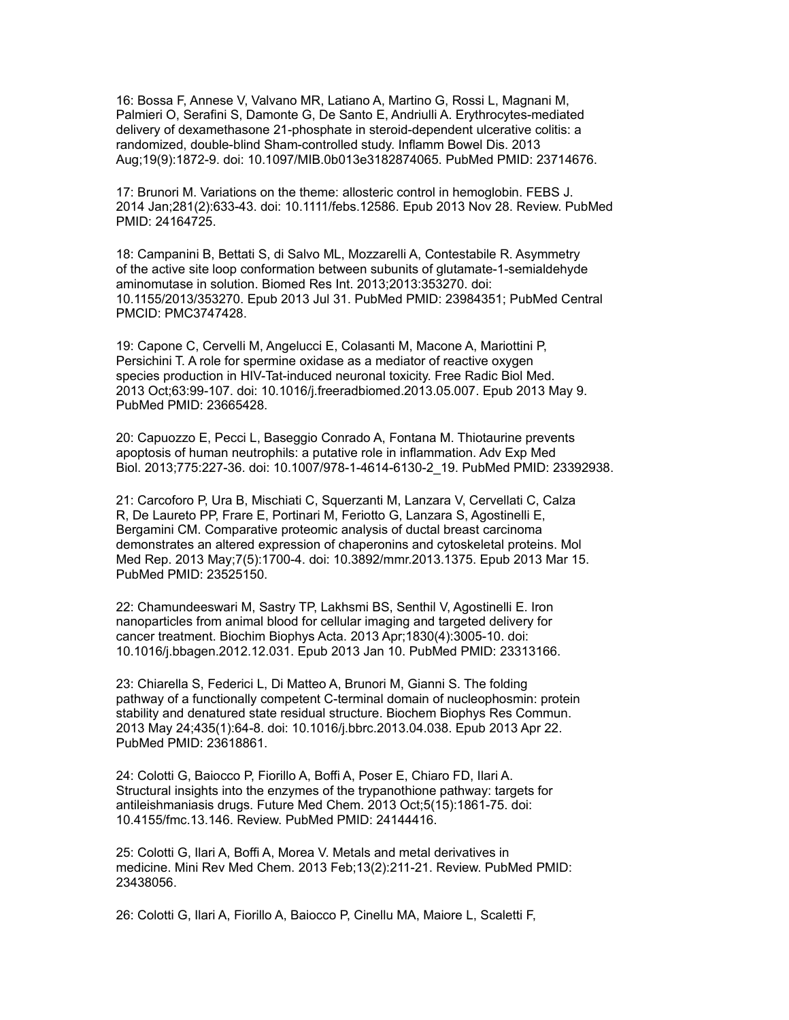16: Bossa F, Annese V, Valvano MR, Latiano A, Martino G, Rossi L, Magnani M, Palmieri O, Serafini S, Damonte G, De Santo E, Andriulli A. Erythrocytes-mediated delivery of dexamethasone 21-phosphate in steroid-dependent ulcerative colitis: a randomized, double-blind Sham-controlled study. Inflamm Bowel Dis. 2013 Aug;19(9):1872-9. doi: 10.1097/MIB.0b013e3182874065. PubMed PMID: 23714676.

17: Brunori M. Variations on the theme: allosteric control in hemoglobin. FEBS J. 2014 Jan;281(2):633-43. doi: 10.1111/febs.12586. Epub 2013 Nov 28. Review. PubMed PMID: 24164725.

18: Campanini B, Bettati S, di Salvo ML, Mozzarelli A, Contestabile R. Asymmetry of the active site loop conformation between subunits of glutamate-1-semialdehyde aminomutase in solution. Biomed Res Int. 2013;2013:353270. doi: 10.1155/2013/353270. Epub 2013 Jul 31. PubMed PMID: 23984351; PubMed Central PMCID: PMC3747428.

19: Capone C, Cervelli M, Angelucci E, Colasanti M, Macone A, Mariottini P, Persichini T. A role for spermine oxidase as a mediator of reactive oxygen species production in HIV-Tat-induced neuronal toxicity. Free Radic Biol Med. 2013 Oct;63:99-107. doi: 10.1016/j.freeradbiomed.2013.05.007. Epub 2013 May 9. PubMed PMID: 23665428.

20: Capuozzo E, Pecci L, Baseggio Conrado A, Fontana M. Thiotaurine prevents apoptosis of human neutrophils: a putative role in inflammation. Adv Exp Med Biol. 2013;775:227-36. doi: 10.1007/978-1-4614-6130-2\_19. PubMed PMID: 23392938.

21: Carcoforo P, Ura B, Mischiati C, Squerzanti M, Lanzara V, Cervellati C, Calza R, De Laureto PP, Frare E, Portinari M, Feriotto G, Lanzara S, Agostinelli E, Bergamini CM. Comparative proteomic analysis of ductal breast carcinoma demonstrates an altered expression of chaperonins and cytoskeletal proteins. Mol Med Rep. 2013 May;7(5):1700-4. doi: 10.3892/mmr.2013.1375. Epub 2013 Mar 15. PubMed PMID: 23525150.

22: Chamundeeswari M, Sastry TP, Lakhsmi BS, Senthil V, Agostinelli E. Iron nanoparticles from animal blood for cellular imaging and targeted delivery for cancer treatment. Biochim Biophys Acta. 2013 Apr;1830(4):3005-10. doi: 10.1016/j.bbagen.2012.12.031. Epub 2013 Jan 10. PubMed PMID: 23313166.

23: Chiarella S, Federici L, Di Matteo A, Brunori M, Gianni S. The folding pathway of a functionally competent C-terminal domain of nucleophosmin: protein stability and denatured state residual structure. Biochem Biophys Res Commun. 2013 May 24;435(1):64-8. doi: 10.1016/j.bbrc.2013.04.038. Epub 2013 Apr 22. PubMed PMID: 23618861.

24: Colotti G, Baiocco P, Fiorillo A, Boffi A, Poser E, Chiaro FD, Ilari A. Structural insights into the enzymes of the trypanothione pathway: targets for antileishmaniasis drugs. Future Med Chem. 2013 Oct;5(15):1861-75. doi: 10.4155/fmc.13.146. Review. PubMed PMID: 24144416.

25: Colotti G, Ilari A, Boffi A, Morea V. Metals and metal derivatives in medicine. Mini Rev Med Chem. 2013 Feb;13(2):211-21. Review. PubMed PMID: 23438056.

26: Colotti G, Ilari A, Fiorillo A, Baiocco P, Cinellu MA, Maiore L, Scaletti F,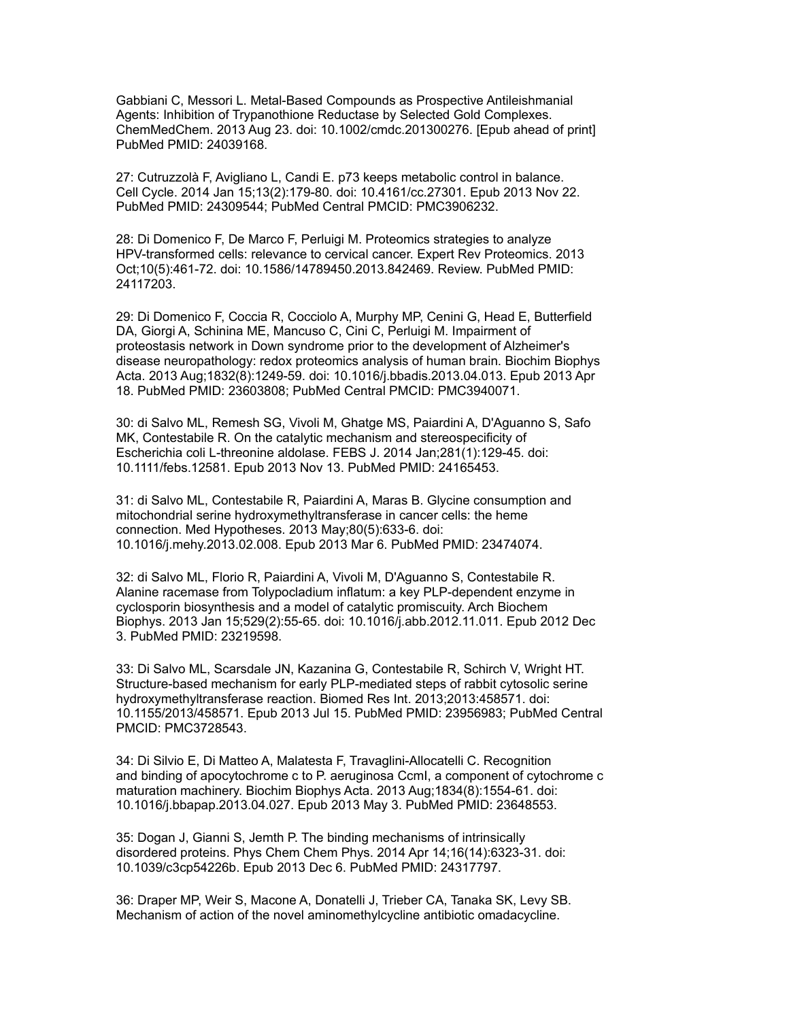Gabbiani C, Messori L. Metal-Based Compounds as Prospective Antileishmanial Agents: Inhibition of Trypanothione Reductase by Selected Gold Complexes. ChemMedChem. 2013 Aug 23. doi: 10.1002/cmdc.201300276. [Epub ahead of print] PubMed PMID: 24039168.

27: Cutruzzolà F, Avigliano L, Candi E. p73 keeps metabolic control in balance. Cell Cycle. 2014 Jan 15;13(2):179-80. doi: 10.4161/cc.27301. Epub 2013 Nov 22. PubMed PMID: 24309544; PubMed Central PMCID: PMC3906232.

28: Di Domenico F, De Marco F, Perluigi M. Proteomics strategies to analyze HPV-transformed cells: relevance to cervical cancer. Expert Rev Proteomics. 2013 Oct;10(5):461-72. doi: 10.1586/14789450.2013.842469. Review. PubMed PMID: 24117203.

29: Di Domenico F, Coccia R, Cocciolo A, Murphy MP, Cenini G, Head E, Butterfield DA, Giorgi A, Schinina ME, Mancuso C, Cini C, Perluigi M. Impairment of proteostasis network in Down syndrome prior to the development of Alzheimer's disease neuropathology: redox proteomics analysis of human brain. Biochim Biophys Acta. 2013 Aug;1832(8):1249-59. doi: 10.1016/j.bbadis.2013.04.013. Epub 2013 Apr 18. PubMed PMID: 23603808; PubMed Central PMCID: PMC3940071.

30: di Salvo ML, Remesh SG, Vivoli M, Ghatge MS, Paiardini A, D'Aguanno S, Safo MK, Contestabile R. On the catalytic mechanism and stereospecificity of Escherichia coli L-threonine aldolase. FEBS J. 2014 Jan;281(1):129-45. doi: 10.1111/febs.12581. Epub 2013 Nov 13. PubMed PMID: 24165453.

31: di Salvo ML, Contestabile R, Paiardini A, Maras B. Glycine consumption and mitochondrial serine hydroxymethyltransferase in cancer cells: the heme connection. Med Hypotheses. 2013 May;80(5):633-6. doi: 10.1016/j.mehy.2013.02.008. Epub 2013 Mar 6. PubMed PMID: 23474074.

32: di Salvo ML, Florio R, Paiardini A, Vivoli M, D'Aguanno S, Contestabile R. Alanine racemase from Tolypocladium inflatum: a key PLP-dependent enzyme in cyclosporin biosynthesis and a model of catalytic promiscuity. Arch Biochem Biophys. 2013 Jan 15;529(2):55-65. doi: 10.1016/j.abb.2012.11.011. Epub 2012 Dec 3. PubMed PMID: 23219598.

33: Di Salvo ML, Scarsdale JN, Kazanina G, Contestabile R, Schirch V, Wright HT. Structure-based mechanism for early PLP-mediated steps of rabbit cytosolic serine hydroxymethyltransferase reaction. Biomed Res Int. 2013;2013:458571. doi: 10.1155/2013/458571. Epub 2013 Jul 15. PubMed PMID: 23956983; PubMed Central PMCID: PMC3728543.

34: Di Silvio E, Di Matteo A, Malatesta F, Travaglini-Allocatelli C. Recognition and binding of apocytochrome c to P. aeruginosa CcmI, a component of cytochrome c maturation machinery. Biochim Biophys Acta. 2013 Aug;1834(8):1554-61. doi: 10.1016/j.bbapap.2013.04.027. Epub 2013 May 3. PubMed PMID: 23648553.

35: Dogan J, Gianni S, Jemth P. The binding mechanisms of intrinsically disordered proteins. Phys Chem Chem Phys. 2014 Apr 14;16(14):6323-31. doi: 10.1039/c3cp54226b. Epub 2013 Dec 6. PubMed PMID: 24317797.

36: Draper MP, Weir S, Macone A, Donatelli J, Trieber CA, Tanaka SK, Levy SB. Mechanism of action of the novel aminomethylcycline antibiotic omadacycline.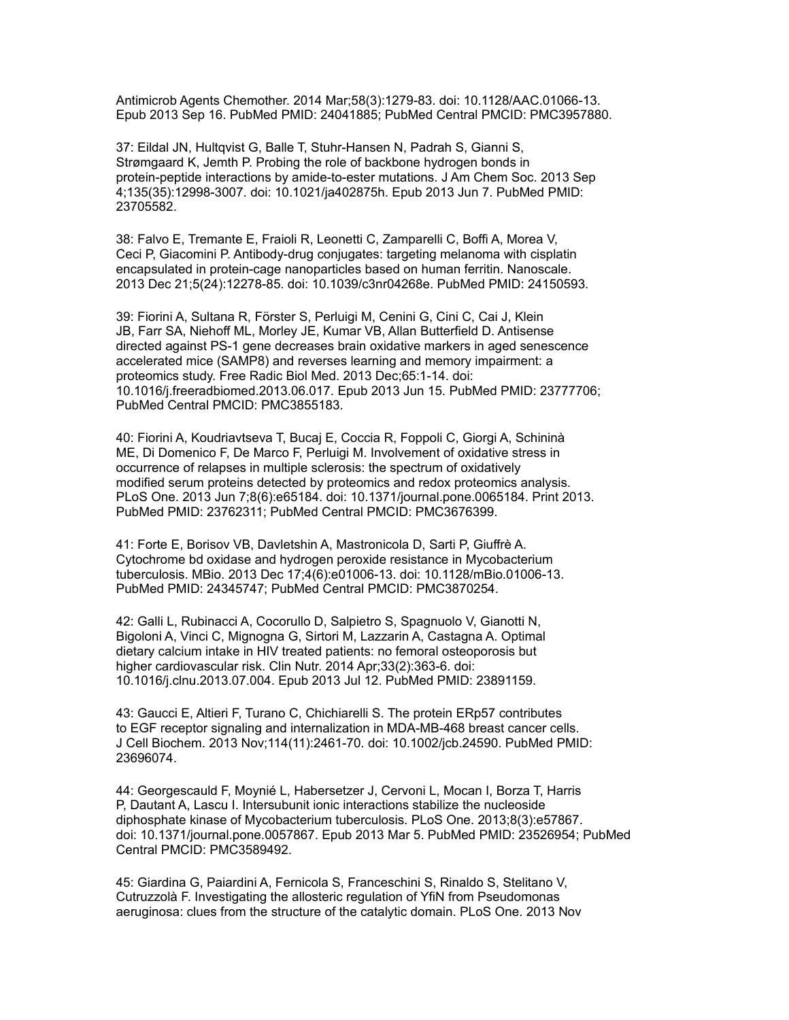Antimicrob Agents Chemother. 2014 Mar;58(3):1279-83. doi: 10.1128/AAC.01066-13. Epub 2013 Sep 16. PubMed PMID: 24041885; PubMed Central PMCID: PMC3957880.

37: Eildal JN, Hultqvist G, Balle T, Stuhr-Hansen N, Padrah S, Gianni S, Strømgaard K, Jemth P. Probing the role of backbone hydrogen bonds in protein-peptide interactions by amide-to-ester mutations. J Am Chem Soc. 2013 Sep 4;135(35):12998-3007. doi: 10.1021/ja402875h. Epub 2013 Jun 7. PubMed PMID: 23705582.

38: Falvo E, Tremante E, Fraioli R, Leonetti C, Zamparelli C, Boffi A, Morea V, Ceci P, Giacomini P. Antibody-drug conjugates: targeting melanoma with cisplatin encapsulated in protein-cage nanoparticles based on human ferritin. Nanoscale. 2013 Dec 21;5(24):12278-85. doi: 10.1039/c3nr04268e. PubMed PMID: 24150593.

39: Fiorini A, Sultana R, Förster S, Perluigi M, Cenini G, Cini C, Cai J, Klein JB, Farr SA, Niehoff ML, Morley JE, Kumar VB, Allan Butterfield D. Antisense directed against PS-1 gene decreases brain oxidative markers in aged senescence accelerated mice (SAMP8) and reverses learning and memory impairment: a proteomics study. Free Radic Biol Med. 2013 Dec;65:1-14. doi: 10.1016/j.freeradbiomed.2013.06.017. Epub 2013 Jun 15. PubMed PMID: 23777706; PubMed Central PMCID: PMC3855183.

40: Fiorini A, Koudriavtseva T, Bucaj E, Coccia R, Foppoli C, Giorgi A, Schininà ME, Di Domenico F, De Marco F, Perluigi M. Involvement of oxidative stress in occurrence of relapses in multiple sclerosis: the spectrum of oxidatively modified serum proteins detected by proteomics and redox proteomics analysis. PLoS One. 2013 Jun 7;8(6):e65184. doi: 10.1371/journal.pone.0065184. Print 2013. PubMed PMID: 23762311; PubMed Central PMCID: PMC3676399.

41: Forte E, Borisov VB, Davletshin A, Mastronicola D, Sarti P, Giuffrè A. Cytochrome bd oxidase and hydrogen peroxide resistance in Mycobacterium tuberculosis. MBio. 2013 Dec 17;4(6):e01006-13. doi: 10.1128/mBio.01006-13. PubMed PMID: 24345747; PubMed Central PMCID: PMC3870254.

42: Galli L, Rubinacci A, Cocorullo D, Salpietro S, Spagnuolo V, Gianotti N, Bigoloni A, Vinci C, Mignogna G, Sirtori M, Lazzarin A, Castagna A. Optimal dietary calcium intake in HIV treated patients: no femoral osteoporosis but higher cardiovascular risk. Clin Nutr. 2014 Apr;33(2):363-6. doi: 10.1016/j.clnu.2013.07.004. Epub 2013 Jul 12. PubMed PMID: 23891159.

43: Gaucci E, Altieri F, Turano C, Chichiarelli S. The protein ERp57 contributes to EGF receptor signaling and internalization in MDA-MB-468 breast cancer cells. J Cell Biochem. 2013 Nov;114(11):2461-70. doi: 10.1002/jcb.24590. PubMed PMID: 23696074.

44: Georgescauld F, Moynié L, Habersetzer J, Cervoni L, Mocan I, Borza T, Harris P, Dautant A, Lascu I. Intersubunit ionic interactions stabilize the nucleoside diphosphate kinase of Mycobacterium tuberculosis. PLoS One. 2013;8(3):e57867. doi: 10.1371/journal.pone.0057867. Epub 2013 Mar 5. PubMed PMID: 23526954; PubMed Central PMCID: PMC3589492.

45: Giardina G, Paiardini A, Fernicola S, Franceschini S, Rinaldo S, Stelitano V, Cutruzzolà F. Investigating the allosteric regulation of YfiN from Pseudomonas aeruginosa: clues from the structure of the catalytic domain. PLoS One. 2013 Nov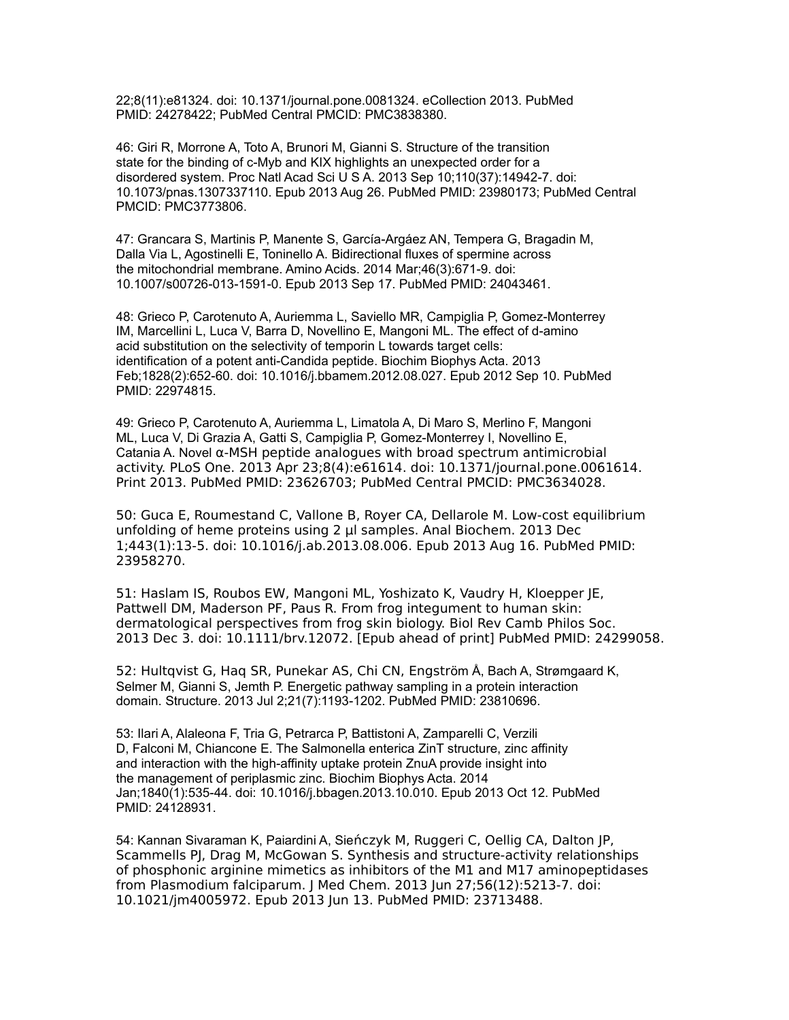22;8(11):e81324. doi: 10.1371/journal.pone.0081324. eCollection 2013. PubMed PMID: 24278422; PubMed Central PMCID: PMC3838380.

46: Giri R, Morrone A, Toto A, Brunori M, Gianni S. Structure of the transition state for the binding of c-Myb and KIX highlights an unexpected order for a disordered system. Proc Natl Acad Sci U S A. 2013 Sep 10;110(37):14942-7. doi: 10.1073/pnas.1307337110. Epub 2013 Aug 26. PubMed PMID: 23980173; PubMed Central PMCID: PMC3773806.

47: Grancara S, Martinis P, Manente S, García-Argáez AN, Tempera G, Bragadin M, Dalla Via L, Agostinelli E, Toninello A. Bidirectional fluxes of spermine across the mitochondrial membrane. Amino Acids. 2014 Mar;46(3):671-9. doi: 10.1007/s00726-013-1591-0. Epub 2013 Sep 17. PubMed PMID: 24043461.

48: Grieco P, Carotenuto A, Auriemma L, Saviello MR, Campiglia P, Gomez-Monterrey IM, Marcellini L, Luca V, Barra D, Novellino E, Mangoni ML. The effect of d-amino acid substitution on the selectivity of temporin L towards target cells: identification of a potent anti-Candida peptide. Biochim Biophys Acta. 2013 Feb;1828(2):652-60. doi: 10.1016/j.bbamem.2012.08.027. Epub 2012 Sep 10. PubMed PMID: 22974815.

49: Grieco P, Carotenuto A, Auriemma L, Limatola A, Di Maro S, Merlino F, Mangoni ML, Luca V, Di Grazia A, Gatti S, Campiglia P, Gomez-Monterrey I, Novellino E, Catania A. Novel α-MSH peptide analogues with broad spectrum antimicrobial activity. PLoS One. 2013 Apr 23;8(4):e61614. doi: 10.1371/journal.pone.0061614. Print 2013. PubMed PMID: 23626703; PubMed Central PMCID: PMC3634028.

50: Guca E, Roumestand C, Vallone B, Royer CA, Dellarole M. Low-cost equilibrium unfolding of heme proteins using 2 μl samples. Anal Biochem. 2013 Dec 1;443(1):13-5. doi: 10.1016/j.ab.2013.08.006. Epub 2013 Aug 16. PubMed PMID: 23958270.

51: Haslam IS, Roubos EW, Mangoni ML, Yoshizato K, Vaudry H, Kloepper JE, Pattwell DM, Maderson PF, Paus R. From frog integument to human skin: dermatological perspectives from frog skin biology. Biol Rev Camb Philos Soc. 2013 Dec 3. doi: 10.1111/brv.12072. [Epub ahead of print] PubMed PMID: 24299058.

52: Hultqvist G, Haq SR, Punekar AS, Chi CN, Engström Å, Bach A, Strømgaard K, Selmer M, Gianni S, Jemth P. Energetic pathway sampling in a protein interaction domain. Structure. 2013 Jul 2;21(7):1193-1202. PubMed PMID: 23810696.

53: Ilari A, Alaleona F, Tria G, Petrarca P, Battistoni A, Zamparelli C, Verzili D, Falconi M, Chiancone E. The Salmonella enterica ZinT structure, zinc affinity and interaction with the high-affinity uptake protein ZnuA provide insight into the management of periplasmic zinc. Biochim Biophys Acta. 2014 Jan;1840(1):535-44. doi: 10.1016/j.bbagen.2013.10.010. Epub 2013 Oct 12. PubMed PMID: 24128931.

54: Kannan Sivaraman K, Paiardini A, Sieńczyk M, Ruggeri C, Oellig CA, Dalton JP, Scammells PJ, Drag M, McGowan S. Synthesis and structure-activity relationships of phosphonic arginine mimetics as inhibitors of the M1 and M17 aminopeptidases from Plasmodium falciparum. J Med Chem. 2013 Jun 27;56(12):5213-7. doi: 10.1021/jm4005972. Epub 2013 Jun 13. PubMed PMID: 23713488.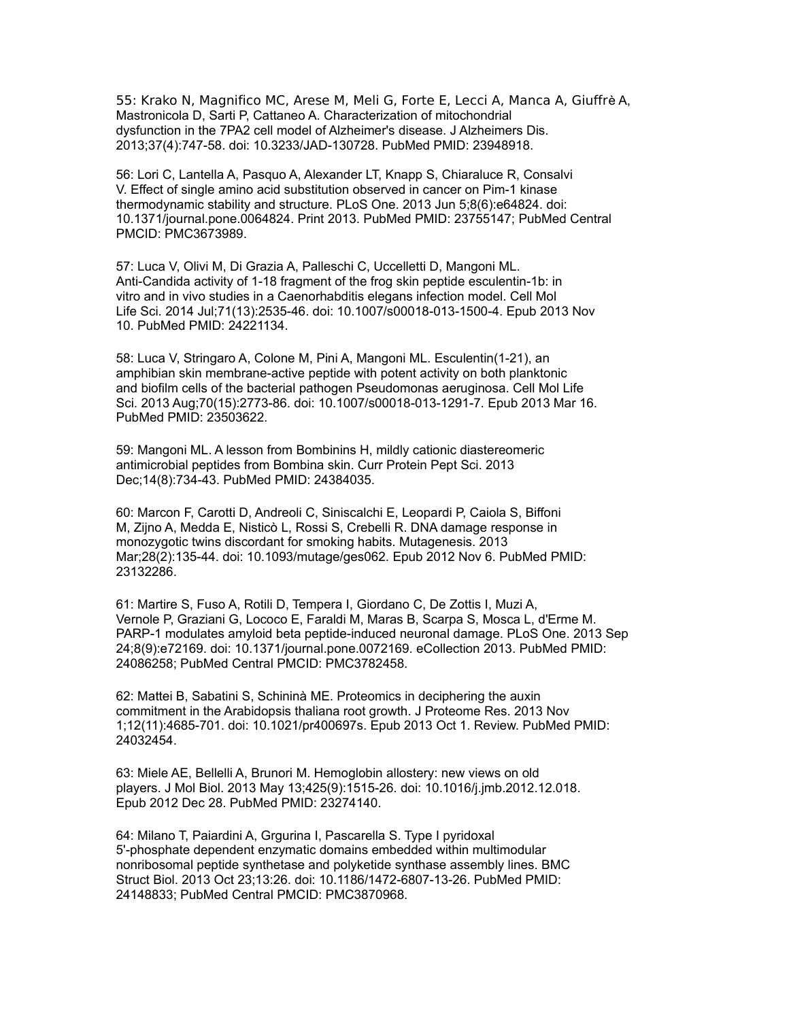55: Krako N, Magnifico MC, Arese M, Meli G, Forte E, Lecci A, Manca A, Giuffrè A, Mastronicola D, Sarti P, Cattaneo A. Characterization of mitochondrial dysfunction in the 7PA2 cell model of Alzheimer's disease. J Alzheimers Dis. 2013;37(4):747-58. doi: 10.3233/JAD-130728. PubMed PMID: 23948918.

56: Lori C, Lantella A, Pasquo A, Alexander LT, Knapp S, Chiaraluce R, Consalvi V. Effect of single amino acid substitution observed in cancer on Pim-1 kinase thermodynamic stability and structure. PLoS One. 2013 Jun 5;8(6):e64824. doi: 10.1371/journal.pone.0064824. Print 2013. PubMed PMID: 23755147; PubMed Central PMCID: PMC3673989.

57: Luca V, Olivi M, Di Grazia A, Palleschi C, Uccelletti D, Mangoni ML. Anti-Candida activity of 1-18 fragment of the frog skin peptide esculentin-1b: in vitro and in vivo studies in a Caenorhabditis elegans infection model. Cell Mol Life Sci. 2014 Jul;71(13):2535-46. doi: 10.1007/s00018-013-1500-4. Epub 2013 Nov 10. PubMed PMID: 24221134.

58: Luca V, Stringaro A, Colone M, Pini A, Mangoni ML. Esculentin(1-21), an amphibian skin membrane-active peptide with potent activity on both planktonic and biofilm cells of the bacterial pathogen Pseudomonas aeruginosa. Cell Mol Life Sci. 2013 Aug;70(15):2773-86. doi: 10.1007/s00018-013-1291-7. Epub 2013 Mar 16. PubMed PMID: 23503622.

59: Mangoni ML. A lesson from Bombinins H, mildly cationic diastereomeric antimicrobial peptides from Bombina skin. Curr Protein Pept Sci. 2013 Dec;14(8):734-43. PubMed PMID: 24384035.

60: Marcon F, Carotti D, Andreoli C, Siniscalchi E, Leopardi P, Caiola S, Biffoni M, Zijno A, Medda E, Nisticò L, Rossi S, Crebelli R. DNA damage response in monozygotic twins discordant for smoking habits. Mutagenesis. 2013 Mar;28(2):135-44. doi: 10.1093/mutage/ges062. Epub 2012 Nov 6. PubMed PMID: 23132286.

61: Martire S, Fuso A, Rotili D, Tempera I, Giordano C, De Zottis I, Muzi A, Vernole P, Graziani G, Lococo E, Faraldi M, Maras B, Scarpa S, Mosca L, d'Erme M. PARP-1 modulates amyloid beta peptide-induced neuronal damage. PLoS One. 2013 Sep 24;8(9):e72169. doi: 10.1371/journal.pone.0072169. eCollection 2013. PubMed PMID: 24086258; PubMed Central PMCID: PMC3782458.

62: Mattei B, Sabatini S, Schininà ME. Proteomics in deciphering the auxin commitment in the Arabidopsis thaliana root growth. J Proteome Res. 2013 Nov 1;12(11):4685-701. doi: 10.1021/pr400697s. Epub 2013 Oct 1. Review. PubMed PMID: 24032454.

63: Miele AE, Bellelli A, Brunori M. Hemoglobin allostery: new views on old players. J Mol Biol. 2013 May 13;425(9):1515-26. doi: 10.1016/j.jmb.2012.12.018. Epub 2012 Dec 28. PubMed PMID: 23274140.

64: Milano T, Paiardini A, Grgurina I, Pascarella S. Type I pyridoxal 5'-phosphate dependent enzymatic domains embedded within multimodular nonribosomal peptide synthetase and polyketide synthase assembly lines. BMC Struct Biol. 2013 Oct 23;13:26. doi: 10.1186/1472-6807-13-26. PubMed PMID: 24148833; PubMed Central PMCID: PMC3870968.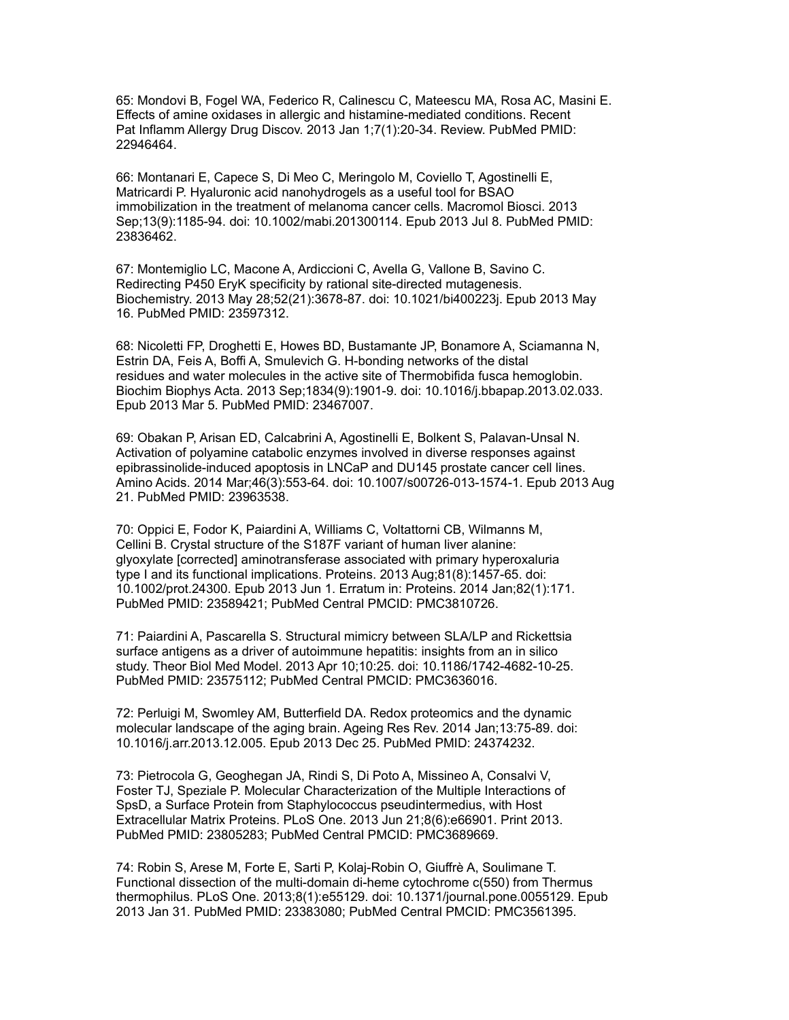65: Mondovi B, Fogel WA, Federico R, Calinescu C, Mateescu MA, Rosa AC, Masini E. Effects of amine oxidases in allergic and histamine-mediated conditions. Recent Pat Inflamm Allergy Drug Discov. 2013 Jan 1;7(1):20-34. Review. PubMed PMID: 22946464.

66: Montanari E, Capece S, Di Meo C, Meringolo M, Coviello T, Agostinelli E, Matricardi P. Hyaluronic acid nanohydrogels as a useful tool for BSAO immobilization in the treatment of melanoma cancer cells. Macromol Biosci. 2013 Sep;13(9):1185-94. doi: 10.1002/mabi.201300114. Epub 2013 Jul 8. PubMed PMID: 23836462.

67: Montemiglio LC, Macone A, Ardiccioni C, Avella G, Vallone B, Savino C. Redirecting P450 EryK specificity by rational site-directed mutagenesis. Biochemistry. 2013 May 28;52(21):3678-87. doi: 10.1021/bi400223j. Epub 2013 May 16. PubMed PMID: 23597312.

68: Nicoletti FP, Droghetti E, Howes BD, Bustamante JP, Bonamore A, Sciamanna N, Estrin DA, Feis A, Boffi A, Smulevich G. H-bonding networks of the distal residues and water molecules in the active site of Thermobifida fusca hemoglobin. Biochim Biophys Acta. 2013 Sep;1834(9):1901-9. doi: 10.1016/j.bbapap.2013.02.033. Epub 2013 Mar 5. PubMed PMID: 23467007.

69: Obakan P, Arisan ED, Calcabrini A, Agostinelli E, Bolkent S, Palavan-Unsal N. Activation of polyamine catabolic enzymes involved in diverse responses against epibrassinolide-induced apoptosis in LNCaP and DU145 prostate cancer cell lines. Amino Acids. 2014 Mar;46(3):553-64. doi: 10.1007/s00726-013-1574-1. Epub 2013 Aug 21. PubMed PMID: 23963538.

70: Oppici E, Fodor K, Paiardini A, Williams C, Voltattorni CB, Wilmanns M, Cellini B. Crystal structure of the S187F variant of human liver alanine: glyoxylate [corrected] aminotransferase associated with primary hyperoxaluria type I and its functional implications. Proteins. 2013 Aug;81(8):1457-65. doi: 10.1002/prot.24300. Epub 2013 Jun 1. Erratum in: Proteins. 2014 Jan;82(1):171. PubMed PMID: 23589421; PubMed Central PMCID: PMC3810726.

71: Paiardini A, Pascarella S. Structural mimicry between SLA/LP and Rickettsia surface antigens as a driver of autoimmune hepatitis: insights from an in silico study. Theor Biol Med Model. 2013 Apr 10;10:25. doi: 10.1186/1742-4682-10-25. PubMed PMID: 23575112; PubMed Central PMCID: PMC3636016.

72: Perluigi M, Swomley AM, Butterfield DA. Redox proteomics and the dynamic molecular landscape of the aging brain. Ageing Res Rev. 2014 Jan;13:75-89. doi: 10.1016/j.arr.2013.12.005. Epub 2013 Dec 25. PubMed PMID: 24374232.

73: Pietrocola G, Geoghegan JA, Rindi S, Di Poto A, Missineo A, Consalvi V, Foster TJ, Speziale P. Molecular Characterization of the Multiple Interactions of SpsD, a Surface Protein from Staphylococcus pseudintermedius, with Host Extracellular Matrix Proteins. PLoS One. 2013 Jun 21;8(6):e66901. Print 2013. PubMed PMID: 23805283; PubMed Central PMCID: PMC3689669.

74: Robin S, Arese M, Forte E, Sarti P, Kolaj-Robin O, Giuffrè A, Soulimane T. Functional dissection of the multi-domain di-heme cytochrome c(550) from Thermus thermophilus. PLoS One. 2013;8(1):e55129. doi: 10.1371/journal.pone.0055129. Epub 2013 Jan 31. PubMed PMID: 23383080; PubMed Central PMCID: PMC3561395.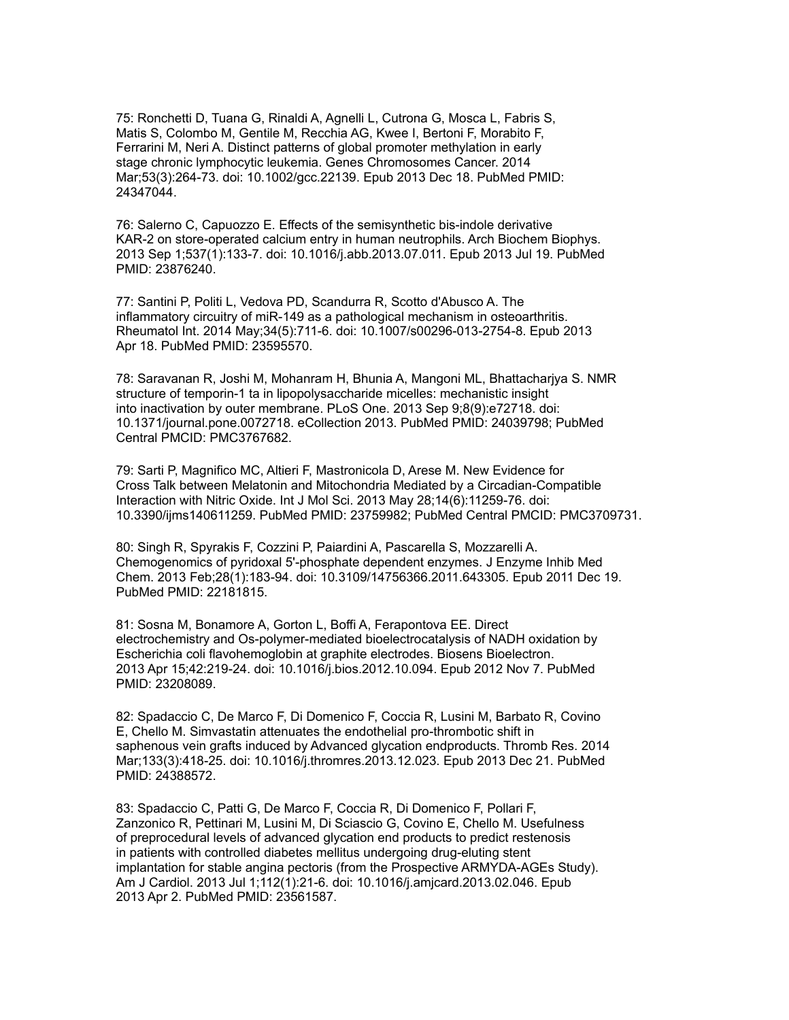75: Ronchetti D, Tuana G, Rinaldi A, Agnelli L, Cutrona G, Mosca L, Fabris S, Matis S, Colombo M, Gentile M, Recchia AG, Kwee I, Bertoni F, Morabito F, Ferrarini M, Neri A. Distinct patterns of global promoter methylation in early stage chronic lymphocytic leukemia. Genes Chromosomes Cancer. 2014 Mar;53(3):264-73. doi: 10.1002/gcc.22139. Epub 2013 Dec 18. PubMed PMID: 24347044.

76: Salerno C, Capuozzo E. Effects of the semisynthetic bis-indole derivative KAR-2 on store-operated calcium entry in human neutrophils. Arch Biochem Biophys. 2013 Sep 1;537(1):133-7. doi: 10.1016/j.abb.2013.07.011. Epub 2013 Jul 19. PubMed PMID: 23876240.

77: Santini P, Politi L, Vedova PD, Scandurra R, Scotto d'Abusco A. The inflammatory circuitry of miR-149 as a pathological mechanism in osteoarthritis. Rheumatol Int. 2014 May;34(5):711-6. doi: 10.1007/s00296-013-2754-8. Epub 2013 Apr 18. PubMed PMID: 23595570.

78: Saravanan R, Joshi M, Mohanram H, Bhunia A, Mangoni ML, Bhattacharjya S. NMR structure of temporin-1 ta in lipopolysaccharide micelles: mechanistic insight into inactivation by outer membrane. PLoS One. 2013 Sep 9;8(9):e72718. doi: 10.1371/journal.pone.0072718. eCollection 2013. PubMed PMID: 24039798; PubMed Central PMCID: PMC3767682.

79: Sarti P, Magnifico MC, Altieri F, Mastronicola D, Arese M. New Evidence for Cross Talk between Melatonin and Mitochondria Mediated by a Circadian-Compatible Interaction with Nitric Oxide. Int J Mol Sci. 2013 May 28;14(6):11259-76. doi: 10.3390/ijms140611259. PubMed PMID: 23759982; PubMed Central PMCID: PMC3709731.

80: Singh R, Spyrakis F, Cozzini P, Paiardini A, Pascarella S, Mozzarelli A. Chemogenomics of pyridoxal 5'-phosphate dependent enzymes. J Enzyme Inhib Med Chem. 2013 Feb;28(1):183-94. doi: 10.3109/14756366.2011.643305. Epub 2011 Dec 19. PubMed PMID: 22181815.

81: Sosna M, Bonamore A, Gorton L, Boffi A, Ferapontova EE. Direct electrochemistry and Os-polymer-mediated bioelectrocatalysis of NADH oxidation by Escherichia coli flavohemoglobin at graphite electrodes. Biosens Bioelectron. 2013 Apr 15;42:219-24. doi: 10.1016/j.bios.2012.10.094. Epub 2012 Nov 7. PubMed PMID: 23208089.

82: Spadaccio C, De Marco F, Di Domenico F, Coccia R, Lusini M, Barbato R, Covino E, Chello M. Simvastatin attenuates the endothelial pro-thrombotic shift in saphenous vein grafts induced by Advanced glycation endproducts. Thromb Res. 2014 Mar;133(3):418-25. doi: 10.1016/j.thromres.2013.12.023. Epub 2013 Dec 21. PubMed PMID: 24388572.

83: Spadaccio C, Patti G, De Marco F, Coccia R, Di Domenico F, Pollari F, Zanzonico R, Pettinari M, Lusini M, Di Sciascio G, Covino E, Chello M. Usefulness of preprocedural levels of advanced glycation end products to predict restenosis in patients with controlled diabetes mellitus undergoing drug-eluting stent implantation for stable angina pectoris (from the Prospective ARMYDA-AGEs Study). Am J Cardiol. 2013 Jul 1;112(1):21-6. doi: 10.1016/j.amjcard.2013.02.046. Epub 2013 Apr 2. PubMed PMID: 23561587.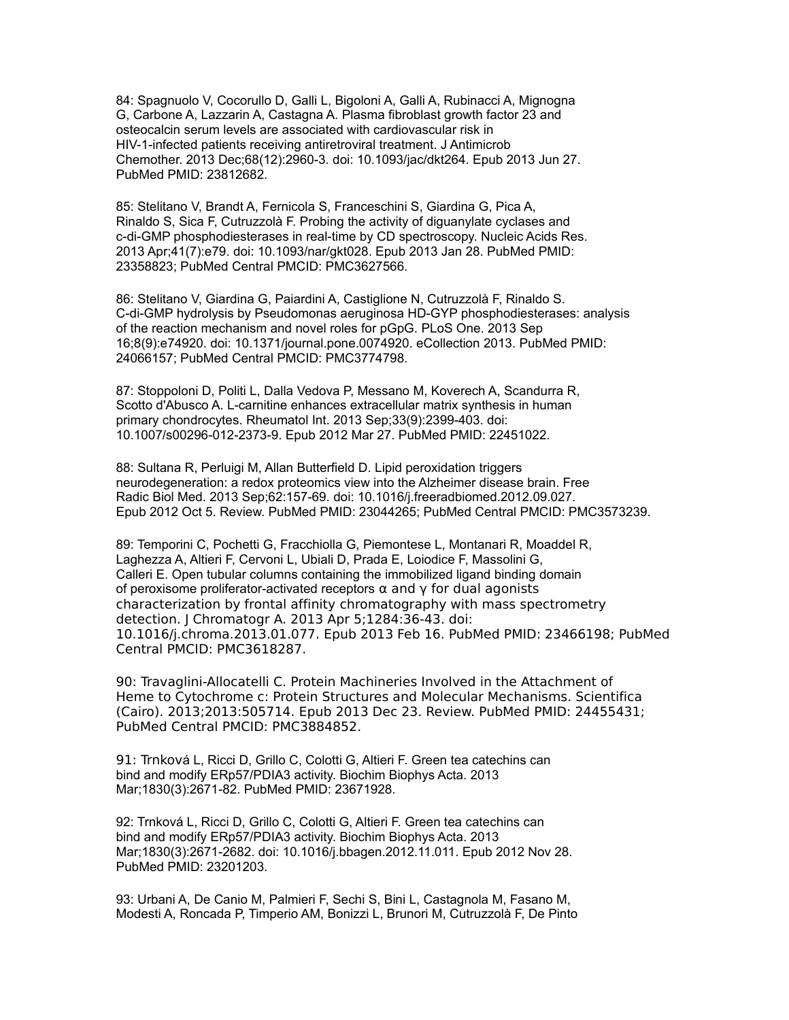84: Spagnuolo V, Cocorullo D, Galli L, Bigoloni A, Galli A, Rubinacci A, Mignogna G, Carbone A, Lazzarin A, Castagna A. Plasma fibroblast growth factor 23 and osteocalcin serum levels are associated with cardiovascular risk in HIV-1-infected patients receiving antiretroviral treatment. J Antimicrob Chemother. 2013 Dec;68(12):2960-3. doi: 10.1093/jac/dkt264. Epub 2013 Jun 27. PubMed PMID: 23812682.

85: Stelitano V, Brandt A, Fernicola S, Franceschini S, Giardina G, Pica A, Rinaldo S, Sica F, Cutruzzolà F. Probing the activity of diguanylate cyclases and c-di-GMP phosphodiesterases in real-time by CD spectroscopy. Nucleic Acids Res. 2013 Apr;41(7):e79. doi: 10.1093/nar/gkt028. Epub 2013 Jan 28. PubMed PMID: 23358823; PubMed Central PMCID: PMC3627566.

86: Stelitano V, Giardina G, Paiardini A, Castiglione N, Cutruzzolà F, Rinaldo S. C-di-GMP hydrolysis by Pseudomonas aeruginosa HD-GYP phosphodiesterases: analysis of the reaction mechanism and novel roles for pGpG. PLoS One. 2013 Sep 16;8(9):e74920. doi: 10.1371/journal.pone.0074920. eCollection 2013. PubMed PMID: 24066157; PubMed Central PMCID: PMC3774798.

87: Stoppoloni D, Politi L, Dalla Vedova P, Messano M, Koverech A, Scandurra R, Scotto d'Abusco A. L-carnitine enhances extracellular matrix synthesis in human primary chondrocytes. Rheumatol Int. 2013 Sep;33(9):2399-403. doi: 10.1007/s00296-012-2373-9. Epub 2012 Mar 27. PubMed PMID: 22451022.

88: Sultana R, Perluigi M, Allan Butterfield D. Lipid peroxidation triggers neurodegeneration: a redox proteomics view into the Alzheimer disease brain. Free Radic Biol Med. 2013 Sep;62:157-69. doi: 10.1016/j.freeradbiomed.2012.09.027. Epub 2012 Oct 5. Review. PubMed PMID: 23044265; PubMed Central PMCID: PMC3573239.

89: Temporini C, Pochetti G, Fracchiolla G, Piemontese L, Montanari R, Moaddel R, Laghezza A, Altieri F, Cervoni L, Ubiali D, Prada E, Loiodice F, Massolini G, Calleri E. Open tubular columns containing the immobilized ligand binding domain of peroxisome proliferator-activated receptors α and γ for dual agonists characterization by frontal affinity chromatography with mass spectrometry detection. J Chromatogr A. 2013 Apr 5;1284:36-43. doi: 10.1016/j.chroma.2013.01.077. Epub 2013 Feb 16. PubMed PMID: 23466198; PubMed Central PMCID: PMC3618287.

90: Travaglini-Allocatelli C. Protein Machineries Involved in the Attachment of Heme to Cytochrome c: Protein Structures and Molecular Mechanisms. Scientifica (Cairo). 2013;2013:505714. Epub 2013 Dec 23. Review. PubMed PMID: 24455431; PubMed Central PMCID: PMC3884852.

91: Trnková L, Ricci D, Grillo C, Colotti G, Altieri F. Green tea catechins can bind and modify ERp57/PDIA3 activity. Biochim Biophys Acta. 2013 Mar;1830(3):2671-82. PubMed PMID: 23671928.

92: Trnková L, Ricci D, Grillo C, Colotti G, Altieri F. Green tea catechins can bind and modify ERp57/PDIA3 activity. Biochim Biophys Acta. 2013 Mar;1830(3):2671-2682. doi: 10.1016/j.bbagen.2012.11.011. Epub 2012 Nov 28. PubMed PMID: 23201203.

93: Urbani A, De Canio M, Palmieri F, Sechi S, Bini L, Castagnola M, Fasano M, Modesti A, Roncada P, Timperio AM, Bonizzi L, Brunori M, Cutruzzolà F, De Pinto